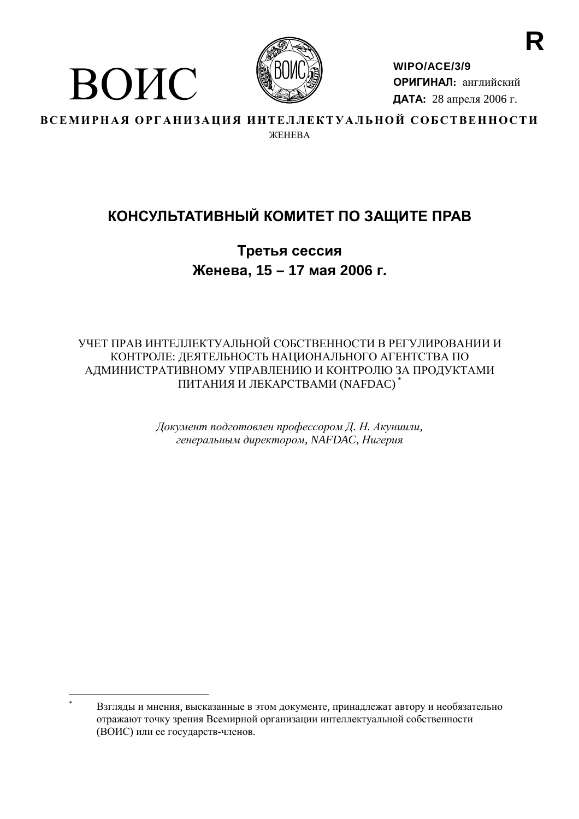

ВОИС

WIPO/ACE/3/9 ОРИГИНАЛ: английский ДАТА: 28 апреля 2006 г.

ВСЕМИРНАЯ ОРГАНИЗАЦИЯ ИНТЕЛЛЕКТУАЛЬНОЙ СОБСТВЕННОСТИ **WEHERA** 

# КОНСУЛЬТАТИВНЫЙ КОМИТЕТ ПО ЗАЩИТЕ ПРАВ

Третья сессия Женева, 15 - 17 мая 2006 г.

УЧЕТ ПРАВ ИНТЕЛЛЕКТУАЛЬНОЙ СОБСТВЕННОСТИ В РЕГУЛИРОВАНИИ И КОНТРОЛЕ: ЛЕЯТЕЛЬНОСТЬ НАПИОНАЛЬНОГО АГЕНТСТВА ПО АДМИНИСТРАТИВНОМУ УПРАВЛЕНИЮ И КОНТРОЛЮ ЗА ПРОДУКТАМИ ПИТАНИЯ И ЛЕКАРСТВАМИ (NAFDAC)

> Документ подготовлен профессором Д. Н. Акуниили, генеральным директором, NAFDAC, Нигерия

Взгляды и мнения, высказанные в этом документе, принадлежат автору и необязательно отражают точку зрения Всемирной организации интеллектуальной собственности (ВОИС) или ее государств-членов.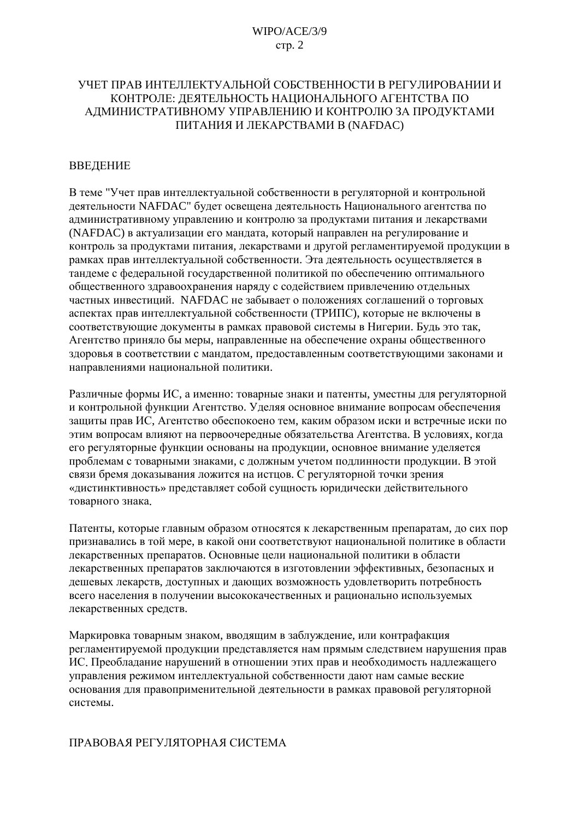### УЧЕТ ПРАВ ИНТЕЛЛЕКТУАЛЬНОЙ СОБСТВЕННОСТИ В РЕГУЛИРОВАНИИ И КОНТРОЛЕ: ЛЕЯТЕЛЬНОСТЬ НАШИОНАЛЬНОГО АГЕНТСТВА ПО АДМИНИСТРАТИВНОМУ УПРАВЛЕНИЮ И КОНТРОЛЮ ЗА ПРОДУКТАМИ ПИТАНИЯ И ЛЕКАРСТВАМИ В (NAFDAC)

### **ВВЕЛЕНИЕ**

В теме "Учет прав интеллектуальной собственности в регуляторной и контрольной деятельности NAFDAC" будет освещена деятельность Национального агентства по административному управлению и контролю за продуктами питания и лекарствами (NAFDAC) в актуализации его мандата, который направлен на регулирование и контроль за продуктами питания, лекарствами и другой регламентируемой продукции в рамках прав интеллектуальной собственности. Эта деятельность осуществляется в тандеме с федеральной государственной политикой по обеспечению оптимального общественного здравоохранения наряду с содействием привлечению отдельных частных инвестиций. NAFDAC не забывает о положениях соглашений о торговых аспектах прав интеллектуальной собственности (ТРИПС), которые не включены в соответствующие документы в рамках правовой системы в Нигерии. Будь это так, Агентство приняло бы меры, направленные на обеспечение охраны общественного здоровья в соответствии с мандатом, предоставленным соответствующими законами и направлениями национальной политики.

Различные формы ИС, а именно: товарные знаки и патенты, уместны для регуляторной и контрольной функции Агентство. Уделяя основное внимание вопросам обеспечения защиты прав ИС, Агентство обеспокоено тем, каким образом иски и встречные иски по этим вопросам влияют на первоочередные обязательства Агентства. В условиях, когда его регуляторные функции основаны на продукции, основное внимание уделяется проблемам с товарными знаками, с должным учетом подлинности продукции. В этой связи бремя доказывания ложится на истцов. С регуляторной точки зрения «дистинктивность» представляет собой сущность юридически действительного товарного знака.

Патенты, которые главным образом относятся к лекарственным препаратам, до сих пор признавались в той мере, в какой они соответствуют национальной политике в области лекарственных препаратов. Основные цели национальной политики в области лекарственных препаратов заключаются в изготовлении эффективных, безопасных и дешевых лекарств, доступных и дающих возможность удовлетворить потребность всего населения в получении высококачественных и рационально используемых лекарственных средств.

Маркировка товарным знаком, вводящим в заблуждение, или контрафакция регламентируемой продукции представляется нам прямым следствием нарушения прав ИС. Преобладание нарушений в отношении этих прав и необходимость надлежащего управления режимом интеллектуальной собственности дают нам самые веские основания для правоприменительной деятельности в рамках правовой регуляторной системы.

#### ПРАВОВАЯ РЕГУЛЯТОРНАЯ СИСТЕМА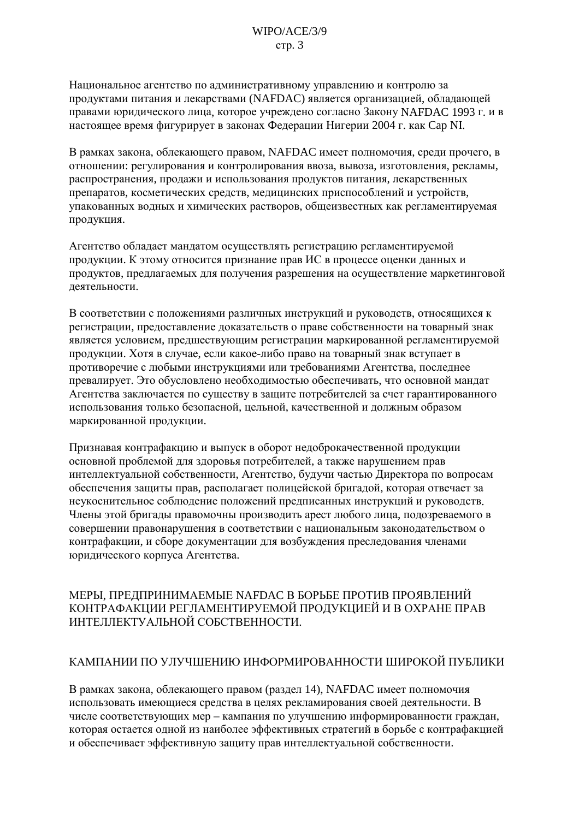Национальное агентство по административному управлению и контролю за продуктами питания и лекарствами (NAFDAC) является организацией, обладающей правами юридического лица, которое учреждено согласно Закону NAFDAC 1993 г. и в настоящее время фигурирует в законах Федерации Нигерии 2004 г. как Cap NI.

В рамках закона, облекающего правом, NAFDAC имеет полномочия, среди прочего, в отношении: регулирования и контролирования ввоза, вывоза, изготовления, рекламы, распространения, продажи и использования продуктов питания, лекарственных препаратов, косметических средств, медицинских приспособлений и устройств, упакованных водных и химических растворов, общеизвестных как регламентируемая продукция.

Агентство обладает мандатом осуществлять регистрацию регламентируемой продукции. К этому относится признание прав ИС в процессе оценки данных и продуктов, предлагаемых для получения разрешения на осуществление маркетинговой леятельности.

В соответствии с положениями различных инструкций и руководств, относящихся к регистрации, предоставление доказательств о праве собственности на товарный знак является условием, предшествующим регистрации маркированной регламентируемой продукции. Хотя в случае, если какое-либо право на товарный знак вступает в противоречие с любыми инструкциями или требованиями Агентства, последнее превалирует. Это обусловлено необходимостью обеспечивать, что основной мандат Агентства заключается по существу в защите потребителей за счет гарантированного использования только безопасной, цельной, качественной и должным образом маркированной продукции.

Признавая контрафакцию и выпуск в оборот недоброкачественной продукции основной проблемой для здоровья потребителей, а также нарушением прав интеллектуальной собственности. Агентство, будучи частью Лиректора по вопросам обеспечения защиты прав, располагает полицейской бригадой, которая отвечает за неукоснительное соблюдение положений предписанных инструкций и руководств. Члены этой бригады правомочны производить арест любого лица, подозреваемого в совершении правонарушения в соответствии с национальным законодательством о контрафакции, и сборе документации для возбуждения преследования членами юридического корпуса Агентства.

### МЕРЫ, ПРЕДПРИНИМАЕМЫЕ NAFDAC В БОРЬБЕ ПРОТИВ ПРОЯВЛЕНИЙ КОНТРАФАКЦИИ РЕГЛАМЕНТИРУЕМОЙ ПРОДУКЦИЕЙ И В ОХРАНЕ ПРАВ ИНТЕЛЛЕКТУАЛЬНОЙ СОБСТВЕННОСТИ.

### КАМПАНИИ ПО УЛУЧШЕНИЮ ИНФОРМИРОВАННОСТИ ШИРОКОЙ ПУБЛИКИ

В рамках закона, облекающего правом (раздел 14), NAFDAC имеет полномочия использовать имеющиеся средства в целях рекламирования своей деятельности. В числе соответствующих мер - кампания по улучшению информированности граждан, которая остается одной из наиболее эффективных стратегий в борьбе с контрафакцией и обеспечивает эффективную защиту прав интеллектуальной собственности.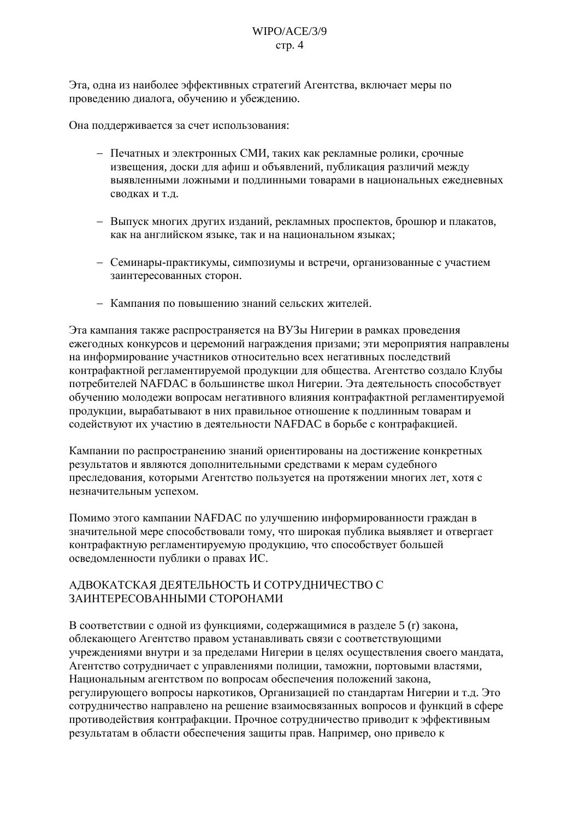### $WIPO/ACE/3/9$  $crp. 4$

Эта, одна из наиболее эффективных стратегий Агентства, включает меры по проведению диалога, обучению и убеждению.

Она поддерживается за счет использования:

- Печатных и электронных СМИ, таких как рекламные ролики, срочные извещения, доски для афиш и объявлений, публикация различий между выявленными ложными и подлинными товарами в национальных ежедневных сводках и т.д.
- Выпуск многих других изданий, рекламных проспектов, брошюр и плакатов, как на английском языке, так и на национальном языках;
- Семинары-практикумы, симпозиумы и встречи, организованные с участием заинтересованных сторон.
- Кампания по повышению знаний сельских жителей.

Эта кампания также распространяется на ВУЗы Нигерии в рамках проведения ежегодных конкурсов и церемоний награждения призами; эти мероприятия направлены на информирование участников относительно всех негативных послелствий контрафактной регламентируемой продукции для общества. Агентство создало Клубы потребителей NAFDAC в большинстве школ Нигерии. Эта деятельность способствует обучению молодежи вопросам негативного влияния контрафактной регламентируемой продукции, вырабатывают в них правильное отношение к подлинным товарам и содействуют их участию в деятельности NAFDAC в борьбе с контрафакцией.

Кампании по распространению знаний ориентированы на достижение конкретных результатов и являются дополнительными средствами к мерам судебного преследования, которыми Агентство пользуется на протяжении многих лет, хотя с незначительным успехом.

Помимо этого кампании NAFDAC по улучшению информированности граждан в значительной мере способствовали тому, что широкая публика выявляет и отвергает контрафактную регламентируемую продукцию, что способствует большей осведомленности публики о правах ИС.

### АДВОКАТСКАЯ ДЕЯТЕЛЬНОСТЬ И СОТРУДНИЧЕСТВО С ЗАИНТЕРЕСОВАННЫМИ СТОРОНАМИ

В соответствии с одной из функциями, содержащимися в разделе 5 (г) закона, облекающего Агентство правом устанавливать связи с соответствующими учреждениями внутри и за пределами Нигерии в целях осуществления своего мандата, Агентство сотрудничает с управлениями полиции, таможни, портовыми властями, Национальным агентством по вопросам обеспечения положений закона. регулирующего вопросы наркотиков, Организацией по стандартам Нигерии и т.д. Это сотрудничество направлено на решение взаимосвязанных вопросов и функций в сфере противодействия контрафакции. Прочное сотрудничество приводит к эффективным результатам в области обеспечения защиты прав. Например, оно привело к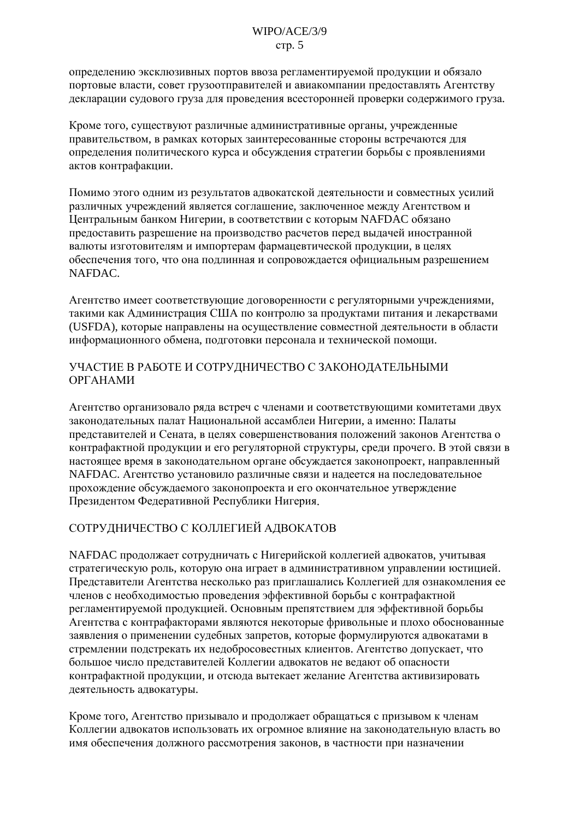определению эксклюзивных портов ввоза регламентируемой продукции и обязало портовые власти, совет грузоотправителей и авиакомпании предоставлять Агентству декларации судового груза для проведения всесторонней проверки содержимого груза.

Кроме того, существуют различные административные органы, учрежденные правительством, в рамках которых заинтересованные стороны встречаются для определения политического курса и обсуждения стратегии борьбы с проявлениями актов контрафакции.

Помимо этого одним из результатов адвокатской деятельности и совместных усилий различных учреждений является соглашение, заключенное между Агентством и Центральным банком Нигерии, в соответствии с которым NAFDAC обязано предоставить разрешение на производство расчетов перед выдачей иностранной валюты изготовителям и импортерам фармацевтической продукции, в целях обеспечения того, что она подлинная и сопровождается официальным разрешением NAFDAC.

Агентство имеет соответствующие договоренности с регуляторными учреждениями, такими как Администрация США по контролю за продуктами питания и лекарствами (USFDA), которые направлены на осуществление совместной деятельности в области информационного обмена, подготовки персонала и технической помощи.

# УЧАСТИЕ В РАБОТЕ И СОТРУДНИЧЕСТВО С ЗАКОНОДАТЕЛЬНЫМИ **ОРГАНАМИ**

Агентство организовало ряда встреч с членами и соответствующими комитетами двух законодательных палат Национальной ассамблеи Нигерии, а именно: Палаты представителей и Сената, в целях совершенствования положений законов Агентства о контрафактной продукции и его регуляторной структуры, среди прочего. В этой связи в настоящее время в законодательном органе обсуждается законопроект, направленный NAFDAC. Агентство установило различные связи и налеется на последовательное прохождение обсуждаемого законопроекта и его окончательное утверждение Президентом Федеративной Республики Нигерия.

# СОТРУДНИЧЕСТВО С КОЛЛЕГИЕЙ АДВОКАТОВ

NAFDAC продолжает сотрудничать с Нигерийской коллегией адвокатов, учитывая стратегическую роль, которую она играет в административном управлении юстицией. Представители Агентства несколько раз приглашались Коллегией для ознакомления ее членов с необходимостью проведения эффективной борьбы с контрафактной регламентируемой продукцией. Основным препятствием для эффективной борьбы Агентства с контрафакторами являются некоторые фривольные и плохо обоснованные заявления о применении судебных запретов, которые формулируются адвокатами в стремлении подстрекать их недобросовестных клиентов. Агентство допускает, что большое число представителей Коллегии адвокатов не ведают об опасности контрафактной продукции, и отсюда вытекает желание Агентства активизировать деятельность адвокатуры.

Кроме того, Агентство призывало и продолжает обращаться с призывом к членам Коллегии алвокатов использовать их огромное влияние на законолательную власть во имя обеспечения должного рассмотрения законов, в частности при назначении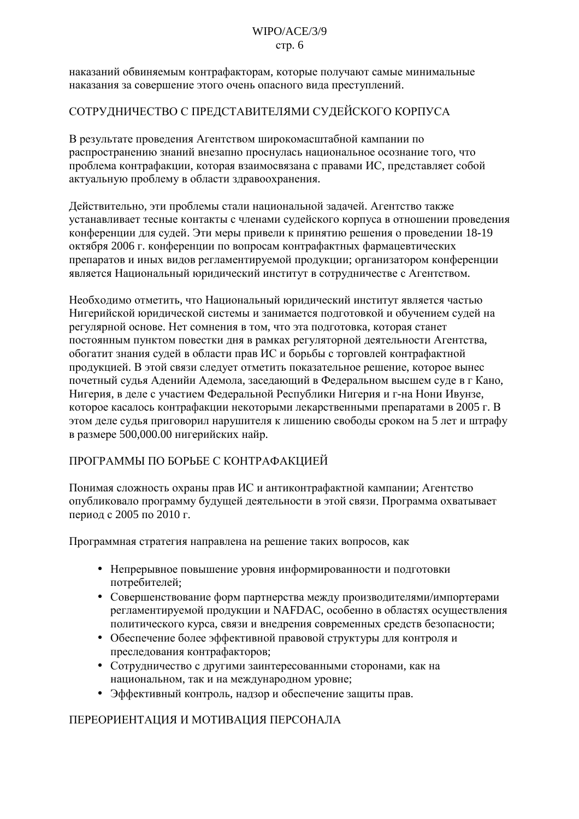#### $WIPO/ACE/3/9$  $crp. 6$

наказаний обвиняемым контрафакторам, которые получают самые минимальные наказания за совершение этого очень опасного вида преступлений.

# СОТРУДНИЧЕСТВО С ПРЕДСТАВИТЕЛЯМИ СУДЕЙСКОГО КОРПУСА

В результате проведения Агентством широкомасштабной кампании по распространению знаний внезапно проснулась национальное осознание того, что проблема контрафакции, которая взаимосвязана с правами ИС, представляет собой актуальную проблему в области здравоохранения.

Действительно, эти проблемы стали национальной задачей. Агентство также устанавливает тесные контакты с членами судейского корпуса в отношении проведения конференции для судей. Эти меры привели к принятию решения о проведении 18-19 октября 2006 г. конференции по вопросам контрафактных фармацевтических препаратов и иных видов регламентируемой продукции; организатором конференции является Национальный юридический институт в сотрудничестве с Агентством.

Необходимо отметить, что Национальный юридический институт является частью Нигерийской юридической системы и занимается подготовкой и обучением судей на регулярной основе. Нет сомнения в том, что эта подготовка, которая станет постоянным пунктом повестки дня в рамках регуляторной деятельности Агентства, обогатит знания судей в области прав ИС и борьбы с торговлей контрафактной продукцией. В этой связи следует отметить показательное решение, которое вынес почетный судья Аденийи Адемола, заседающий в Федеральном высшем суде в г Кано, Нигерия, в деле с участием Федеральной Республики Нигерия и г-на Нони Ивунзе, которое касалось контрафакции некоторыми лекарственными препаратами в 2005 г. В этом деле судья приговорил нарушителя к лишению свободы сроком на 5 лет и штрафу в размере 500,000.00 нигерийских найр.

# ПРОГРАММЫ ПО БОРЬБЕ С КОНТРАФАКЦИЕЙ

Понимая сложность охраны прав ИС и антиконтрафактной кампании; Агентство опубликовало программу будущей деятельности в этой связи. Программа охватывает период с 2005 по 2010 г.

Программная стратегия направлена на решение таких вопросов, как

- Непрерывное повышение уровня информированности и подготовки потребителей;
- Совершенствование форм партнерства между производителями/импортерами регламентируемой продукции и NAFDAC, особенно в областях осуществления политического курса, связи и внелрения современных средств безопасности;
- Обеспечение более эффективной правовой структуры для контроля и преследования контрафакторов;
- Сотрудничество с другими заинтересованными сторонами, как на национальном, так и на международном уровне:
- Эффективный контроль, надзор и обеспечение защиты прав.

### ПЕРЕОРИЕНТАЦИЯ И МОТИВАЦИЯ ПЕРСОНАЛА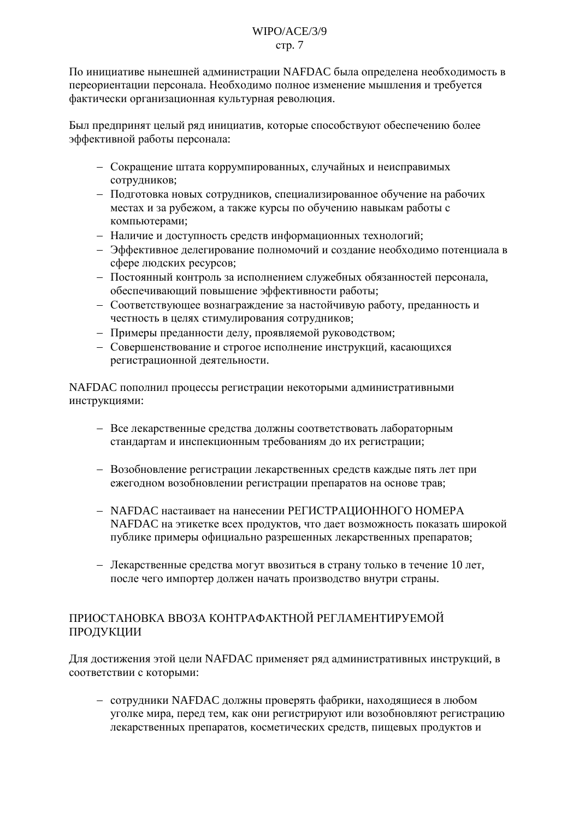### $WIPO/ACE/3/9$  $crp. 7$

По инициативе нынешней администрации NAFDAC была определена необходимость в переориентации персонала. Необходимо полное изменение мышления и требуется фактически организационная культурная революция.

Был предпринят целый ряд инициатив, которые способствуют обеспечению более эффективной работы персонала:

- Сокращение штата коррумпированных, случайных и неисправимых сотрудников;
- Подготовка новых сотрудников, специализированное обучение на рабочих местах и за рубежом, а также курсы по обучению навыкам работы с компьютерами;
- Наличие и доступность средств информационных технологий;
- Эффективное делегирование полномочий и создание необходимо потенциала в сфере людских ресурсов;
- Постоянный контроль за исполнением служебных обязанностей персонала, обеспечивающий повышение эффективности работы;
- Соответствующее вознаграждение за настойчивую работу, преданность и честность в целях стимулирования сотрудников;
- Примеры преданности делу, проявляемой руководством;
- Совершенствование и строгое исполнение инструкций, касающихся регистрационной деятельности.

NAFDAC пополнил процессы регистрации некоторыми административными инструкциями:

- Все лекарственные средства должны соответствовать лабораторным стандартам и инспекционным требованиям до их регистрации;
- Возобновление регистрации лекарственных средств каждые пять лет при ежегодном возобновлении регистрации препаратов на основе трав;
- NAFDAC настаивает на нанесении РЕГИСТРАЦИОННОГО НОМЕРА NAFDAC на этикетке всех продуктов, что дает возможность показать широкой публике примеры официально разрешенных лекарственных препаратов;
- Лекарственные средства могут ввозиться в страну только в течение 10 лет, после чего импортер должен начать производство внутри страны.

# ПРИОСТАНОВКА ВВОЗА КОНТРАФАКТНОЙ РЕГЛАМЕНТИРУЕМОЙ ПРОДУКЦИИ

Для достижения этой цели NAFDAC применяет ряд административных инструкций, в соответствии с которыми:

- сотрудники NAFDAC должны проверять фабрики, находящиеся в любом уголке мира, перед тем, как они регистрируют или возобновляют регистрацию лекарственных препаратов, косметических средств, пищевых продуктов и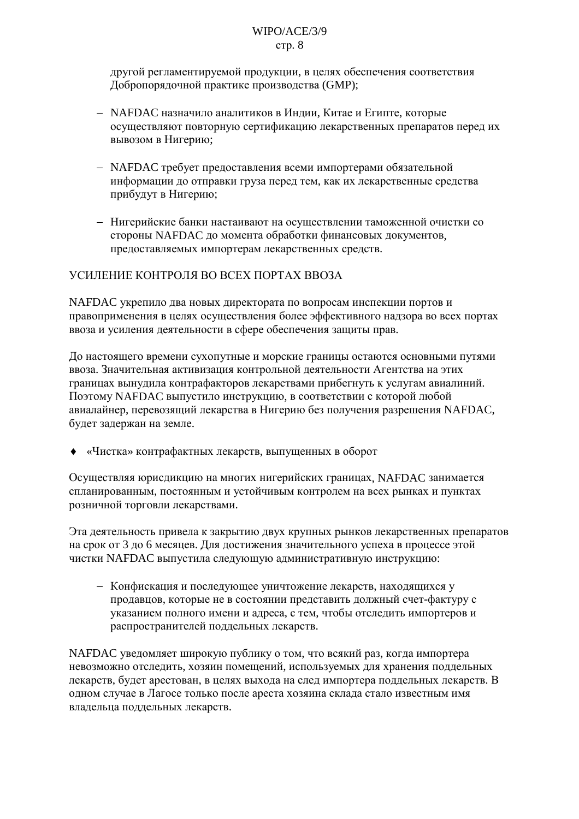### $WIPO/ACE/3/9$ стр. 8

другой регламентируемой продукции, в целях обеспечения соответствия Добропорядочной практике производства (GMP);

- NAFDAC назначило аналитиков в Индии, Китае и Египте, которые осуществляют повторную сертификацию лекарственных препаратов перед их вывозом в Нигерию;
- NAFDAC требует предоставления всеми импортерами обязательной информации до отправки груза перед тем, как их лекарственные средства прибудут в Нигерию;
- Нигерийские банки настаивают на осуществлении таможенной очистки со стороны NAFDAC до момента обработки финансовых документов, предоставляемых импортерам лекарственных средств.

# УСИЛЕНИЕ КОНТРОЛЯ ВО ВСЕХ ПОРТАХ ВВОЗА

NAFDAC укрепило два новых директората по вопросам инспекции портов и правоприменения в целях осуществления более эффективного налзора во всех портах ввоза и усиления деятельности в сфере обеспечения защиты прав.

До настоящего времени сухопутные и морские границы остаются основными путями ввоза. Значительная активизация контрольной деятельности Агентства на этих границах вынудила контрафакторов лекарствами прибегнуть к услугам авиалиний. Поэтому NAFDAC выпустило инструкцию, в соответствии с которой любой авиалайнер, перевозящий лекарства в Нигерию без получения разрешения NAFDAC, будет задержан на земле.

• «Чистка» контрафактных лекарств, выпущенных в оборот

Осушествляя юрисликцию на многих нигерийских границах. NAFDAC занимается спланированным, постоянным и устойчивым контролем на всех рынках и пунктах розничной торговли лекарствами.

Эта деятельность привела к закрытию двух крупных рынков лекарственных препаратов на срок от 3 до 6 месяцев. Для достижения значительного успеха в процессе этой чистки NAFDAC выпустила следующую административную инструкцию:

- Конфискация и последующее уничтожение лекарств, находящихся у продавцов, которые не в состоянии представить должный счет-фактуру с указанием полного имени и адреса, с тем, чтобы отследить импортеров и распространителей поддельных лекарств.

NAFDAC уведомляет широкую публику о том, что всякий раз, когда импортера невозможно отследить, хозяин помещений, используемых для хранения поддельных лекарств, будет арестован, в целях выхода на след импортера поддельных лекарств. В одном случае в Лагосе только после ареста хозяина склада стало известным имя владельца поддельных лекарств.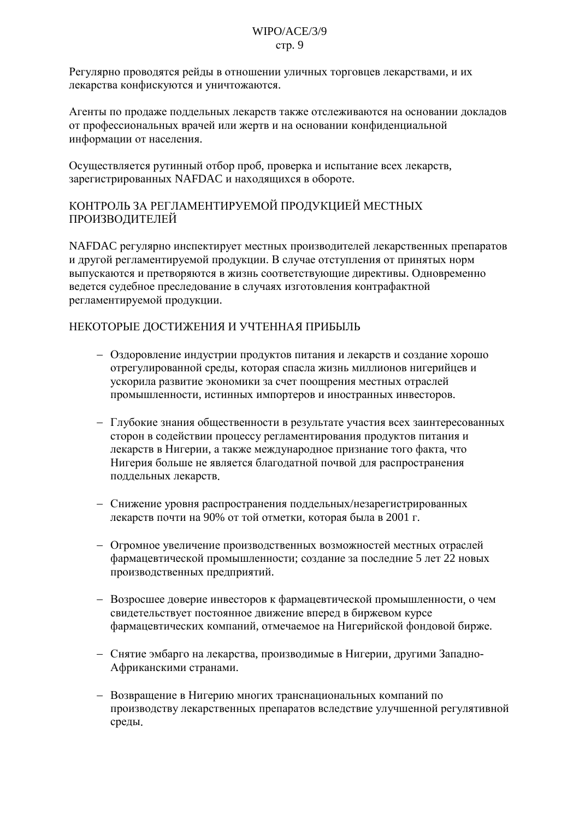### $WIPO/ACE/3/9$ стр. 9

Регулярно проводятся рейды в отношении уличных торговцев лекарствами, и их лекарства конфискуются и уничтожаются.

Агенты по продаже поддельных лекарств также отслеживаются на основании докладов от профессиональных врачей или жертв и на основании конфиденциальной информации от населения.

Осушествляется рутинный отбор проб. проверка и испытание всех лекарств. зарегистрированных NAFDAC и находящихся в обороте.

# КОНТРОЛЬ ЗА РЕГЛАМЕНТИРУЕМОЙ ПРОДУКЦИЕЙ МЕСТНЫХ ПРОИЗВОДИТЕЛЕЙ

NAFDAC регулярно инспектирует местных производителей лекарственных препаратов и другой регламентируемой продукции. В случае отступления от принятых норм выпускаются и претворяются в жизнь соответствующие директивы. Одновременно ведется судебное преследование в случаях изготовления контрафактной регламентируемой продукции.

# НЕКОТОРЫЕ ДОСТИЖЕНИЯ И УЧТЕННАЯ ПРИБЫЛЬ

- Оздоровление индустрии продуктов питания и лекарств и создание хорошо отрегулированной среды, которая спасла жизнь миллионов нигерийцев и ускорила развитие экономики за счет поощрения местных отраслей промышленности, истинных импортеров и иностранных инвесторов.
- Глубокие знания общественности в результате участия всех заинтересованных сторон в содействии процессу регламентирования продуктов питания и лекарств в Нигерии, а также международное признание того факта, что Нигерия больше не является благодатной почвой для распространения поддельных лекарств.
- Снижение уровня распространения поддельных/незарегистрированных лекарств почти на 90% от той отметки, которая была в 2001 г.
- Огромное увеличение производственных возможностей местных отраслей фармацевтической промышленности; создание за последние 5 лет 22 новых производственных предприятий.
- Возросшее доверие инвесторов к фармацевтической промышленности, о чем свидетельствует постоянное движение вперед в биржевом курсе фармацевтических компаний, отмечаемое на Нигерийской фондовой бирже.
- Снятие эмбарго на лекарства, производимые в Нигерии, другими Западно-Африканскими странами.
- Возвращение в Нигерию многих транснациональных компаний по производству лекарственных препаратов вследствие улучшенной регулятивной среды.